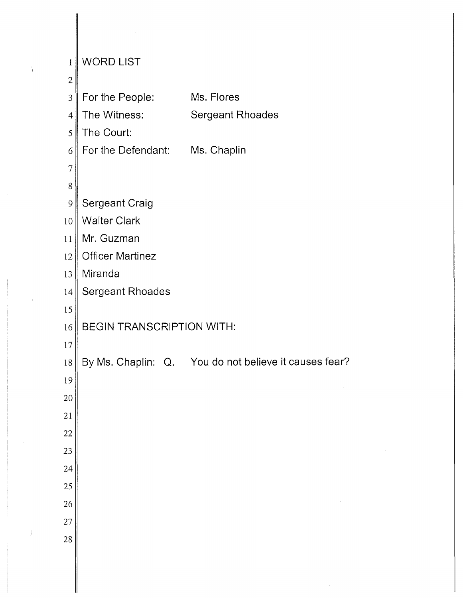| 1              | <b>WORD LIST</b>                 |                                                       |
|----------------|----------------------------------|-------------------------------------------------------|
| $\mathbf{2}$   |                                  |                                                       |
| $\mathfrak{Z}$ | For the People:                  | Ms. Flores                                            |
| $\overline{4}$ | The Witness:                     | <b>Sergeant Rhoades</b>                               |
| 5              | The Court:                       |                                                       |
| 6              | For the Defendant: Ms. Chaplin   |                                                       |
| $\overline{7}$ |                                  |                                                       |
| 8              |                                  |                                                       |
| $\mathcal{Q}$  | <b>Sergeant Craig</b>            |                                                       |
| 10             | <b>Walter Clark</b>              |                                                       |
| 11             | Mr. Guzman                       |                                                       |
| 12             | <b>Officer Martinez</b>          |                                                       |
| 13             | Miranda                          |                                                       |
| 14             | <b>Sergeant Rhoades</b>          |                                                       |
| 15             |                                  |                                                       |
| 16             | <b>BEGIN TRANSCRIPTION WITH:</b> |                                                       |
| $17\,$         |                                  |                                                       |
| $18\,$         |                                  | By Ms. Chaplin: Q. You do not believe it causes fear? |
| 19             |                                  |                                                       |
| 20             |                                  |                                                       |
| 21             |                                  |                                                       |
| $22\,$         |                                  |                                                       |
| 23             |                                  |                                                       |
| 24             |                                  |                                                       |
| 25             |                                  |                                                       |
| 26             |                                  |                                                       |
| 27             |                                  |                                                       |
| 28             |                                  |                                                       |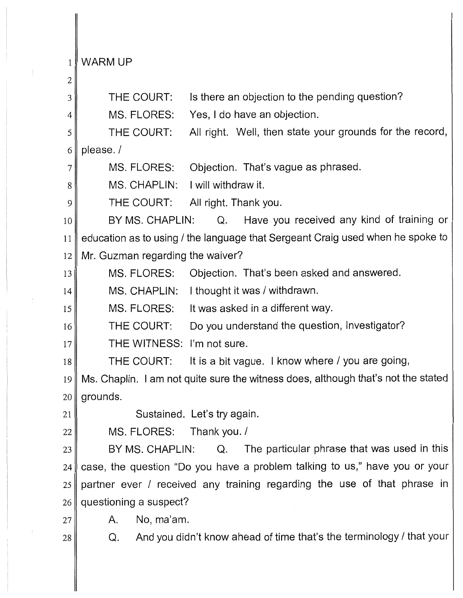1 WARM UP

2 3 4 5 6 7 8 9 10 11 12 13 14 15 16 17 18 19 20 21 22 23 24 25 26 27 28 THE COURT: Is there an objection to the pending question? MS. FLORES: Yes, I do have an objection. THE COURT: All right. Well, then state your grounds for the record, please./ MS. FLORES: Objection. That's vague as phrased. MS. CHAPLIN: I will withdraw it. THE COURT: All right. Thank you. BY MS. CHAPLIN: Q. Have you received any kind of training or education as to using/ the language that Sergeant Craig used when he spoke to Mr. Guzman regarding the waiver? MS. FLORES: Objection. That's been asked and answered. MS. CHAPLIN: I thought it was / withdrawn. MS. FLORES: It was asked in a different way. THE COURT: Do you understand the question, Investigator? THE WITNESS: I'm not sure. THE COURT: It is a bit vague. I know where/ you are going, Ms. Chaplin. I am not quite sure the witness does, although that's not the stated grounds. Sustained. Let's try again. MS. FLORES: Thank you./ BY MS. CHAPLIN: Q. The particular phrase that was used in this case, the question "Do you have a problem talking to us," have you or your partner ever / received any training regarding the use of that phrase in questioning a suspect? A. No, ma'am. Q. And you didn't know ahead of time that's the terminology/ that your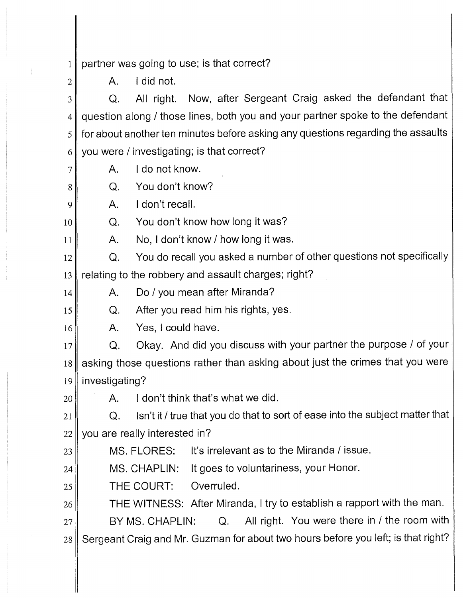1 partner was going to use; is that correct?

A. I did not.

3 4 5 6 Q. All right. Now, after Sergeant Craig asked the defendant that question along / those lines, both you and your partner spoke to the defendant for about another ten minutes before asking any questions regarding the assaults you were/ investigating; is that correct?

A. I do not know.

Q. You don't know?

A. I don't recall.

Q. You don't know how long it was?

A. No, I don't know/ how long it was.

12 13 Q. You do recall you asked a number of other questions not specifically relating to the robbery and assault charges; right?

A. Do/ you mean after Miranda?

Q. After you read him his rights, yes.

16

2

7

8

9

10

11

14

15

23

A. Yes, I could have.

17 18 19 Q. Okay. And did you discuss with your partner the purpose / of your asking those questions rather than asking about just the crimes that you were investigating?

20 A. I don't think that's what we did.

21 22 Q. Isn't it/ true that you do that to sort of ease into the subject matter that you are really interested in?

MS. FLORES: It's irrelevant as to the Miranda/ issue.

24 MS. CHAPLIN: It goes to voluntariness, your Honor.

25 THE COURT: Overruled.

26 THE WITNESS: After Miranda, I try to establish a rapport with the man.

27 28 BY MS. CHAPLIN: Q. All right. You were there in / the room with Sergeant Craig and Mr. Guzman for about two hours before you left; is that right?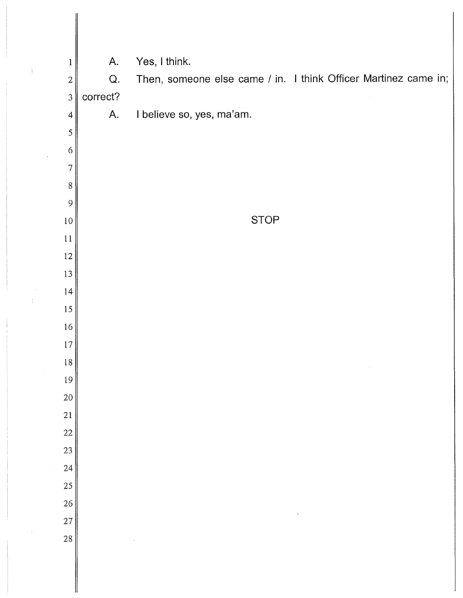| $\mathbf{1}$   | A.       | Yes, I think.                                                   |
|----------------|----------|-----------------------------------------------------------------|
| $\mathbf{2}$   | Q.       | Then, someone else came / in. I think Officer Martinez came in; |
| $\mathfrak{Z}$ | correct? |                                                                 |
| $\overline{4}$ | A.       | I believe so, yes, ma'am.                                       |
| $\mathfrak s$  |          |                                                                 |
| 6              |          |                                                                 |
| $\tau$         |          |                                                                 |
| $8\,$<br>9     |          |                                                                 |
| $10\,$         |          | <b>STOP</b>                                                     |
| 11             |          |                                                                 |
| 12             |          |                                                                 |
| 13             |          |                                                                 |
| 14             |          |                                                                 |
| 15             |          |                                                                 |
| 16             |          |                                                                 |
| 17             |          |                                                                 |
| $18\,$         |          |                                                                 |
| 19             |          |                                                                 |
| 20             |          |                                                                 |
| 21             |          |                                                                 |
| 22             |          |                                                                 |
| 23             |          |                                                                 |
| 24             |          |                                                                 |
| 25             |          |                                                                 |
| 26             |          |                                                                 |
| 27             |          |                                                                 |
| 28             |          |                                                                 |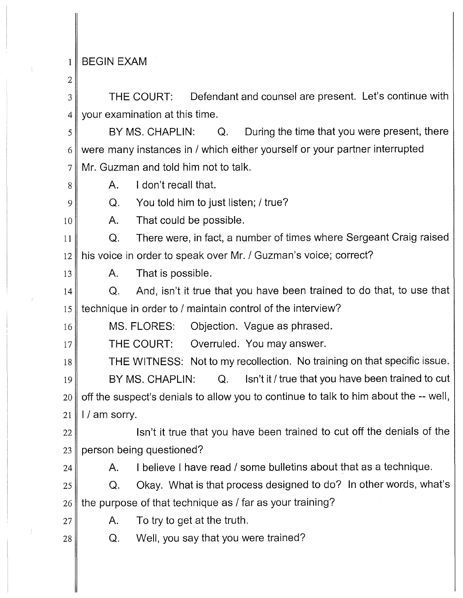## 1 BEGIN EXAM

2

8

9

10

3 4 THE COURT: Defendant and counsel are present. Let's continue with your examination at this time.

5 6 7 BY MS. CHAPLIN: Q. During the time that you were present, there were many instances in / which either yourself or your partner interrupted Mr. Guzman and told him not to talk.

A. I don't recall that.

Q. You told him to just listen;/ true?

A. That could be possible.

11 12 Q. There were, in fact, a number of times where Sergeant Craig raised his voice in order to speak over Mr. / Guzman's voice; correct?

13 A. That is possible.

14 15 Q. And, isn't it true that you have been trained to do that, to use that technique in order to/ maintain control of the interview?

16 MS. FLORES: Objection. Vague as phrased.

17 THE COURT: Overruled. You may answer.

18 19 20 21 THE WITNESS: Not to my recollection. No training on that specific issue. BY MS. CHAPLIN: Q. Isn't it / true that you have been trained to cut off the suspect's denials to allow you to continue to talk to him about the -- well, I / am sorry.

22 23 Isn't it true that you have been trained to cut off the denials of the person being questioned?

24

A. I believe I have read / some bulletins about that as a technique.

25 26 Q. Okay. What is that process designed to do? In other words, what's the purpose of that technique as/ far as your training?

27

A. To try to get at the truth.

28

Q. Well, you say that you were trained?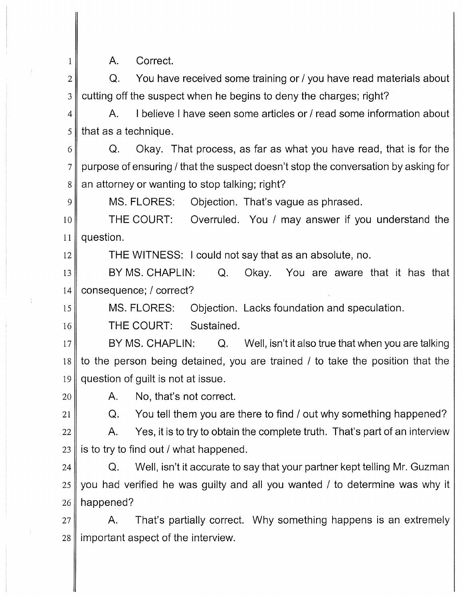A. Correct.

2 3 Q. You have received some training or/ you have read materials about cutting off the suspect when he begins to deny the charges; right?

4 5 A. I believe I have seen some articles or/ read some information about that as a technique.

6 7 8 Q. Okay. That process, as far as what you have read, that is for the purpose of ensuring/ that the suspect doesn't stop the conversation by asking for an attorney or wanting to stop talking; right?

MS. FLORES: Objection. That's vague as phrased.

10 11 THE COURT: Overruled. You / may answer if you understand the question.

THE WITNESS: I could not say that as an absolute, no.

13 14 BY MS. CHAPLIN: Q. Okay. You are aware that it has that consequence; / correct?

15 MS. FLORES: Objection. Lacks foundation and speculation.

16 THE COURT: Sustained.

17 18 19 BY MS. CHAPLIN: Q. Well, isn't it also true that when you are talking to the person being detained, you are trained / to take the position that the question of guilt is not at issue.

20

21

1

9

12

A. No, that's not correct.

Q. You tell them you are there to find / out why something happened?

22 23 A. Yes, it is to try to obtain the complete truth. That's part of an interview is to try to find out/ what happened.

24 25 26 Q. Well, isn't it accurate to say that your partner kept telling Mr. Guzman you had verified he was guilty and all you wanted / to determine was why it happened?

27 28 A. That's partially correct. Why something happens is an extremely important aspect of the interview.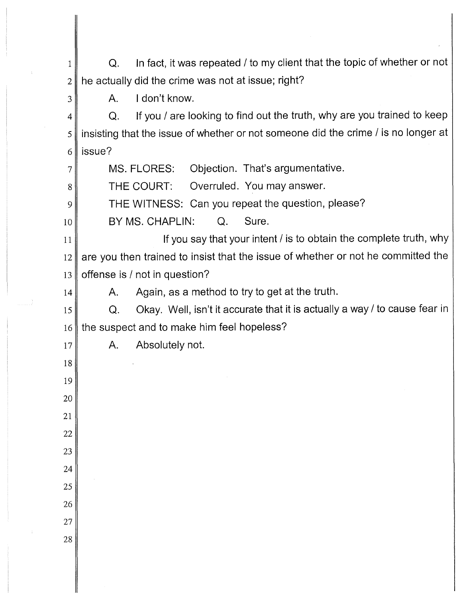Q. In fact, it was repeated / to my client that the topic of whether or not he actually did the crime was not at issue; right?

A. I don't know.

 Q. If you / are looking to find out the truth, why are you trained to keep insisting that the issue of whether or not someone did the crime / is no longer at issue?

MS. FLORES: Objection. That's argumentative.

THE COURT: Overruled. You may answer.

THE WITNESS: Can you repeat the question, please?

 BY MS. CHAPLIN: Q. Sure.

 If you say that your intent/ is to obtain the complete truth, why are you then trained to insist that the issue of whether or not he committed the offense is/ not in question?

A. Again, as a method to try to get at the truth.

 Q. Okay. Well, isn't it accurate that it is actually a way/ to cause fear in the suspect and to make him feel hopeless?

A. Absolutely not.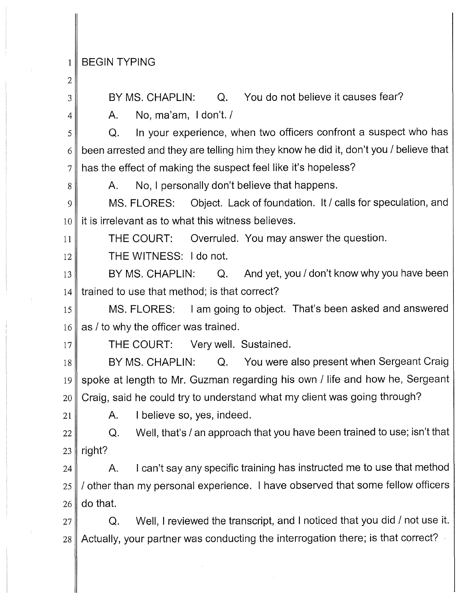## 1 BEGIN TYPING

- 2
- 3

8

4

BY MS. CHAPLIN: Q. You do not believe it causes fear?

A. No, ma'am, I don't. /

5 6 7 Q. In your experience, when two officers confront a suspect who has been arrested and they are telling him they know he did it, don't you/ believe that has the effect of making the suspect feel like it's hopeless?

A. No, I personally don't believe that happens.

9 10 MS. FLORES: Object. Lack of foundation. It/ calls for speculation, and it is irrelevant as to what this witness believes.

11 THE COURT: Overruled. You may answer the question.

12 THE WITNESS: I do not.

13 14 BY MS. CHAPLIN: Q. And yet, you / don't know why you have been trained to use that method; is that correct?

15 16 MS. FLORES: I am going to object. That's been asked and answered as/ to why the officer was trained.

17

21

THE COURT: Very well. Sustained.

18 19 20 BY MS. CHAPLIN: Q. You were also present when Sergeant Craig spoke at length to Mr. Guzman regarding his own / life and how he, Sergeant Craig, said he could try to understand what my client was going through?

A. I believe so, yes, indeed.

22 23 Q. Well, that's/ an approach that you have been trained to use; isn't that right?

24 25 26 A. I can't say any specific training has instructed me to use that method / other than my personal experience. I have observed that some fellow officers do that.

27 28 Q. Well, I reviewed the transcript, and I noticed that you did / not use it. Actually, your partner was conducting the interrogation there; is that correct?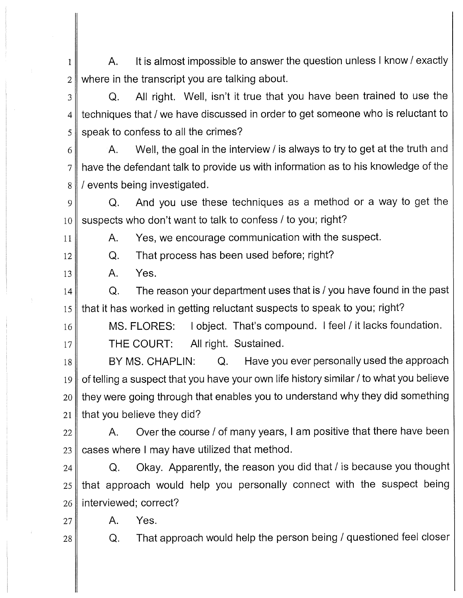1 2 A. It is almost impossible to answer the question unless I know/ exactly where in the transcript you are talking about.

3 4 5 Q. All right. Well, isn't it true that you have been trained to use the techniques that/ we have discussed in order to get someone who is reluctant to speak to confess to all the crimes?

6 7 8 A. Well, the goal in the interview/ is always to try to get at the truth and have the defendant talk to provide us with information as to his knowledge of the / events being investigated.

9 10 Q. And you use these techniques as a method or a way to get the suspects who don't want to talk to confess/ to you; right?

A. Yes, we encourage communication with the suspect.

Q. That process has been used before; right?

13 A. Yes.

11

12

14 15 Q. The reason your department uses that is/ you have found in the past that it has worked in getting reluctant suspects to speak to you; right?

16 17 MS. FLORES: I object. That's compound. I feel/ it lacks foundation. THE COURT: All right. Sustained.

18 BY MS. CHAPLIN: Q. Have you ever personally used the approach

19 20 21 of telling a suspect that you have your own life history similar/ to what you believe they were going through that enables you to understand why they did something that you believe they did?

22 23 A. Over the course / of many years, I am positive that there have been cases where I may have utilized that method.

24 25 26 Q. Okay. Apparently, the reason you did that/ is because you thought that approach would help you personally connect with the suspect being interviewed; correct?

27 A. Yes.

28

Q. That approach would help the person being / questioned feel closer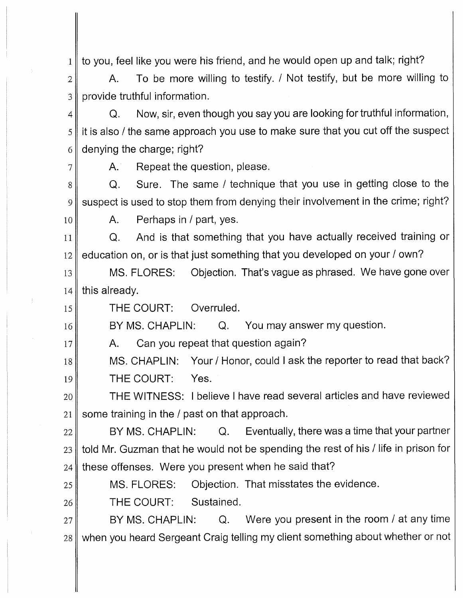1 to you, feel like you were his friend, and he would open up and talk; right?

2 3 A. To be more willing to testify. / Not testify, but be more willing to provide truthful information.

4 5 6 Q. Now, sir, even though you say you are looking for truthful information, it is also/ the same approach you use to make sure that you cut off the suspect denying the charge; right?

7

10

17

A. Repeat the question, please.

8 9 Q. Sure. The same / technique that you use in getting close to the suspect is used to stop them from denying their involvement in the crime; right?

A. Perhaps in / part, yes.

11 12 Q. And is that something that you have actually received training or education on, or is that just something that you developed on your/ own?

13 14 MS. FLORES: Objection. That's vague as phrased. We have gone over this already.

15 THE COURT: Overruled.

16 BY MS. CHAPLIN: Q. You may answer my question.

A. Can you repeat that question again?

18 19 MS. CHAPLIN: Your / Honor, could I ask the reporter to read that back? THE COURT: Yes.

20 21 THE WITNESS: I believe I have read several articles and have reviewed some training in the/ past on that approach.

22 23 24 BY MS. CHAPLIN: Q. Eventually, there was a time that your partner told Mr. Guzman that he would not be spending the rest of his/ life in prison for these offenses. Were you present when he said that?

25 26 MS. FLORES: Objection. That misstates the evidence. THE COURT: Sustained.

27 28 BY MS. CHAPLIN: Q. Were you present in the room / at any time when you heard Sergeant Craig telling my client something about whether or not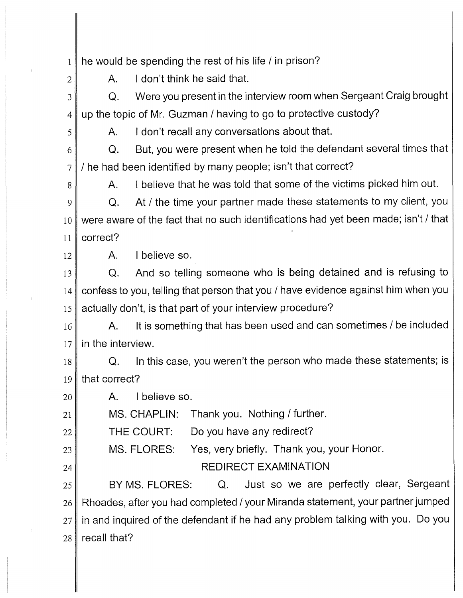1 he would be spending the rest of his life/ in prison?

A. I don't think he said that.

3 4 Q. Were you present in the interview room when Sergeant Craig brought up the topic of Mr. Guzman / having to go to protective custody?

A. I don't recall any conversations about that.

6 7 Q. But, you were present when he told the defendant several times that / he had been identified by many people; isn't that correct?

A. I believe that he was told that some of the victims picked him out.

9 10 11 Q. At / the time your partner made these statements to my client, you were aware of the fact that no such identifications had yet been made; isn't/ that correct?

12

2

5

8

23

24

A. I believe so.

13 14 15 Q. And so telling someone who is being detained and is refusing to confess to you, telling that person that you/ have evidence against him when you actually don't, is that part of your interview procedure?

16 17 A. It is something that has been used and can sometimes/ be included in the interview.

18 19 Q. In this case, you weren't the person who made these statements; is that correct?

20 A. I believe so.

21 MS. CHAPLIN: Thank you. Nothing/ further.

22 THE COURT: Do you have any redirect?

MS. FLORES: Yes, very briefly. Thank you, your Honor.

REDIRECT EXAMINATION

25 26 27 28 BY MS. FLORES: Q. Just so we are perfectly clear, Sergeant Rhoades, after you had completed/ your Miranda statement, your partner jumped in and inquired of the defendant if he had any problem talking with you. Do you recall that?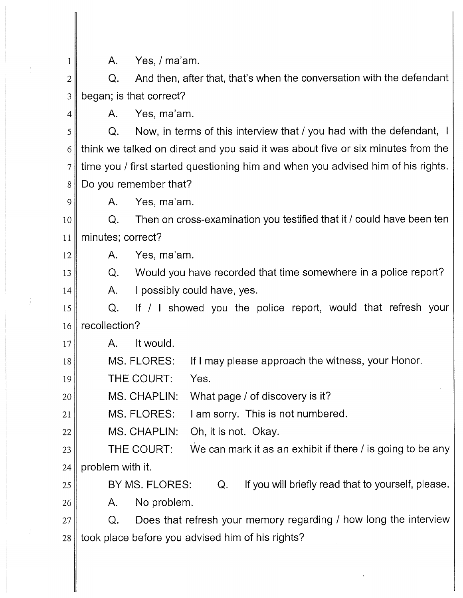A. Yes, / ma'am.

2 3 Q. And then, after that, that's when the conversation with the defendant began; is that correct?

4

1

9

12

13

14

A. Yes, ma'am.

5 6 7 s Q. Now, in terms of this interview that / you had with the defendant, I think we talked on direct and you said it was about five or six minutes from the time you / first started questioning him and when you advised him of his rights. Do you remember that?

A. Yes, ma'am.

10 11 Q. Then on cross-examination you testified that it/ could have been ten minutes; correct?

A. Yes, ma'am.

Q. Would you have recorded that time somewhere in a police report?

A. I possibly could have, yes.

15 16 Q. If / I showed you the police report, would that refresh your recollection?

17 A. It would.

18 MS. FLORES: If I may please approach the witness, your Honor.

19 THE COURT: Yes.

20 MS. CHAPLIN: What page / of discovery is it?

21 MS. FLORES: I am sorry. This is not numbered.

22 MS. CHAPLIN: Oh, it is not. Okay.

23 24 THE COURT: We can mark it as an exhibit if there / is going to be any problem with it.

25 26 BY MS. FLORES: Q. If you will briefly read that to yourself, please. A. No problem.

27 28 Q. Does that refresh your memory regarding / how long the interview took place before you advised him of his rights?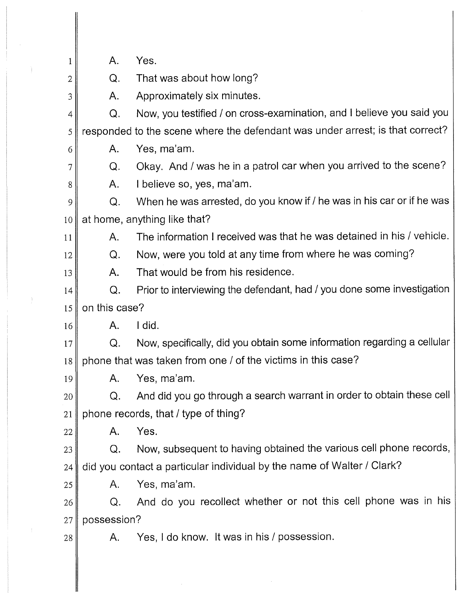| 1      | Α.            | Yes.                                                                          |
|--------|---------------|-------------------------------------------------------------------------------|
| 2      | Q.            | That was about how long?                                                      |
| 3      | Α.            | Approximately six minutes.                                                    |
| 4      | Q.            | Now, you testified / on cross-examination, and I believe you said you         |
| 5      |               | responded to the scene where the defendant was under arrest; is that correct? |
| 6      | Α.            | Yes, ma'am.                                                                   |
| 7      | Q.            | Okay. And / was he in a patrol car when you arrived to the scene?             |
| 8      | Α.            | I believe so, yes, ma'am.                                                     |
| 9      | Q.            | When he was arrested, do you know if / he was in his car or if he was         |
| 10     |               | at home, anything like that?                                                  |
| 11     | Α.            | The information I received was that he was detained in his / vehicle.         |
| 12     | Q.            | Now, were you told at any time from where he was coming?                      |
| 13     | Α.            | That would be from his residence.                                             |
| 14     | Q.            | Prior to interviewing the defendant, had / you done some investigation        |
| 15     | on this case? |                                                                               |
| 16     | Α.            | I did.                                                                        |
| 17     | Q.            | Now, specifically, did you obtain some information regarding a cellular       |
| 18     |               | phone that was taken from one / of the victims in this case?                  |
| 19     | Α.            | Yes, ma'am.                                                                   |
| 20     | Q.            | And did you go through a search warrant in order to obtain these cell         |
| 21     |               | phone records, that / type of thing?                                          |
| 22     | Α.            | Yes.                                                                          |
| 23     | Q.            | Now, subsequent to having obtained the various cell phone records,            |
| 24     |               | did you contact a particular individual by the name of Walter / Clark?        |
| 25     | Α.            | Yes, ma'am.                                                                   |
| 26     | Q.            | And do you recollect whether or not this cell phone was in his                |
| $27\,$ | possession?   |                                                                               |
| 28     | Α.            | Yes, I do know. It was in his / possession.                                   |
|        |               |                                                                               |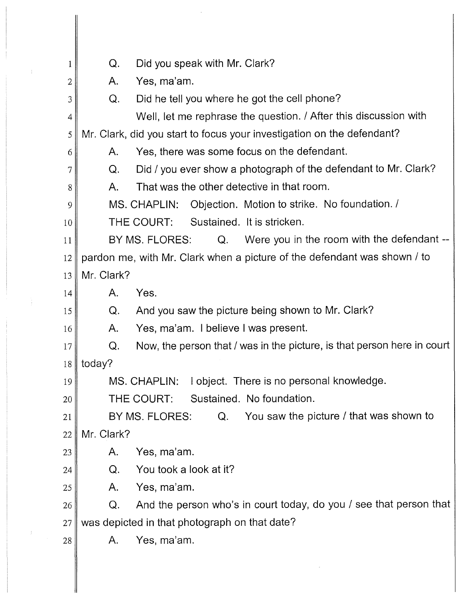| 1  | Did you speak with Mr. Clark?<br>Q.                                           |
|----|-------------------------------------------------------------------------------|
| 2  | Yes, ma'am.<br>Α.                                                             |
| 3  | Did he tell you where he got the cell phone?<br>Q.                            |
| 4  | Well, let me rephrase the question. / After this discussion with              |
| 5  | Mr. Clark, did you start to focus your investigation on the defendant?        |
| 6  | Yes, there was some focus on the defendant.<br>A.                             |
| 7  | Did / you ever show a photograph of the defendant to Mr. Clark?<br>Q.         |
| 8  | That was the other detective in that room.<br>Α.                              |
| 9  | Objection. Motion to strike. No foundation. /<br>MS. CHAPLIN:                 |
| 10 | Sustained. It is stricken.<br>THE COURT:                                      |
| 11 | Were you in the room with the defendant --<br>BY MS. FLORES:<br>Q.            |
| 12 | pardon me, with Mr. Clark when a picture of the defendant was shown / to      |
| 13 | Mr. Clark?                                                                    |
| 14 | Yes.<br>A.                                                                    |
| 15 | And you saw the picture being shown to Mr. Clark?<br>Q.                       |
| 16 | Yes, ma'am. I believe I was present.<br>Α.                                    |
| 17 | Now, the person that / was in the picture, is that person here in court<br>Q. |
|    | $18$ today?                                                                   |
| 19 | I object. There is no personal knowledge.<br>MS. CHAPLIN:                     |
| 20 | Sustained. No foundation.<br>THE COURT:                                       |
| 21 | You saw the picture / that was shown to<br>BY MS. FLORES:<br>Q.               |
| 22 | Mr. Clark?                                                                    |
| 23 | Yes, ma'am.<br>Α.                                                             |
| 24 | You took a look at it?<br>Q.                                                  |
| 25 | Yes, ma'am.<br>A.                                                             |
| 26 | And the person who's in court today, do you / see that person that<br>Q.      |
| 27 | was depicted in that photograph on that date?                                 |
| 28 | Yes, ma'am.<br>Α.                                                             |
|    |                                                                               |

 $\sim 10^{-1}$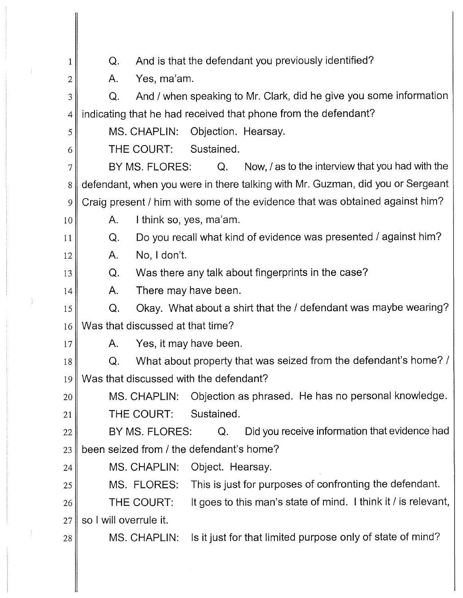1 2 3 4 5 6 7 8 9 10 11 12 13 14 15 16 17 18 19 20 21 22 23 24 25 26 27 28 Q. And is that the defendant you previously identified? A. Yes, ma'am. Q. And / when speaking to Mr. Clark, did he give you some information indicating that he had received that phone from the defendant? MS. CHAPLIN: Objection. Hearsay. THE COURT: Sustained. BY MS. FLORES: Q. Now, / as to the interview that you had with the defendant, when you were in there talking with Mr. Guzman, did you or Sergeant Craig present/ him with some of the evidence that was obtained against him? A. I think so, yes, ma'am. Q. Do you recall what kind of evidence was presented / against him? A. No, I don't. Q. Was there any talk about fingerprints in the case? A. There may have been. Q. Okay. What about a shirt that the/ defendant was maybe wearing? Was that discussed at that time? A. Yes, it may have been. Q. What about property that was seized from the defendant's home? / Was that discussed with the defendant? MS. CHAPLIN: Objection as phrased. He has no personal knowledge. THE COURT: Sustained. BY MS. FLORES: Q. Did you receive information that evidence had been seized from / the defendant's home? MS. CHAPLIN: Object. Hearsay. MS. FLORES: This is just for purposes of confronting the defendant. THE COURT: It goes to this man's state of mind. I think it/ is relevant, so I will overrule it. MS. CHAPLIN: Is it just for that limited purpose only of state of mind?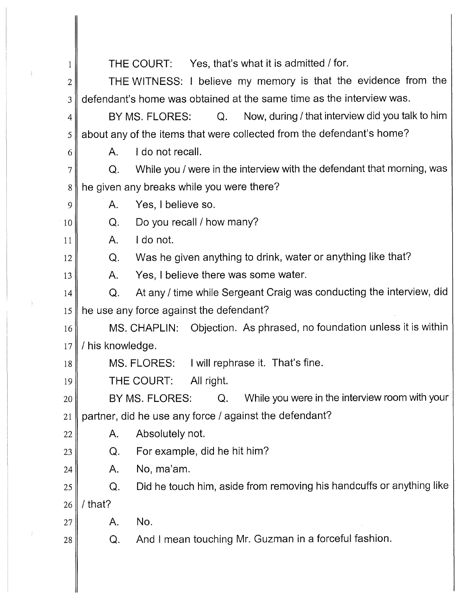| $\mathbf{1}$   |                  | THE COURT: Yes, that's what it is admitted / for.                        |
|----------------|------------------|--------------------------------------------------------------------------|
| $\overline{c}$ |                  | THE WITNESS: I believe my memory is that the evidence from the           |
| 3              |                  | defendant's home was obtained at the same time as the interview was.     |
| 4              |                  | Now, during / that interview did you talk to him<br>BY MS. FLORES:<br>Q. |
| 5              |                  | about any of the items that were collected from the defendant's home?    |
| 6              | Α.               | I do not recall.                                                         |
| $\overline{7}$ | Q.               | While you / were in the interview with the defendant that morning, was   |
| 8              |                  | he given any breaks while you were there?                                |
| 9              | Α.               | Yes, I believe so.                                                       |
| 10             | Q.               | Do you recall / how many?                                                |
| 11             | A.               | I do not.                                                                |
| 12             | Q.               | Was he given anything to drink, water or anything like that?             |
| 13             | A.               | Yes, I believe there was some water.                                     |
| 14             | Q.               | At any / time while Sergeant Craig was conducting the interview, did     |
| 15             |                  | he use any force against the defendant?                                  |
| 16             |                  | MS. CHAPLIN: Objection. As phrased, no foundation unless it is within    |
| 17             | / his knowledge. |                                                                          |
| 18             |                  | MS. FLORES: I will rephrase it. That's fine.                             |
| 19             |                  | THE COURT:<br>All right.                                                 |
| 20             |                  | While you were in the interview room with your<br>BY MS. FLORES:<br>Q.   |
| 21             |                  | partner, did he use any force / against the defendant?                   |
| 22             | Α.               | Absolutely not.                                                          |
| 23             | Q.               | For example, did he hit him?                                             |
| 24             | Α.               | No, ma'am.                                                               |
| 25             | Q.               | Did he touch him, aside from removing his handcuffs or anything like     |
| 26             | / that?          |                                                                          |
| 27             | A.               | No.                                                                      |
| 28             | Q.               | And I mean touching Mr. Guzman in a forceful fashion.                    |
|                |                  |                                                                          |

 $\sum_{i=1}^n \alpha_i$ 

 $\frac{1}{2}$ 

 $\int_{\mathbb{R}^n} \left| \mathcal{L}(\mathbf{x}) \right| \, d\mathbf{x}$